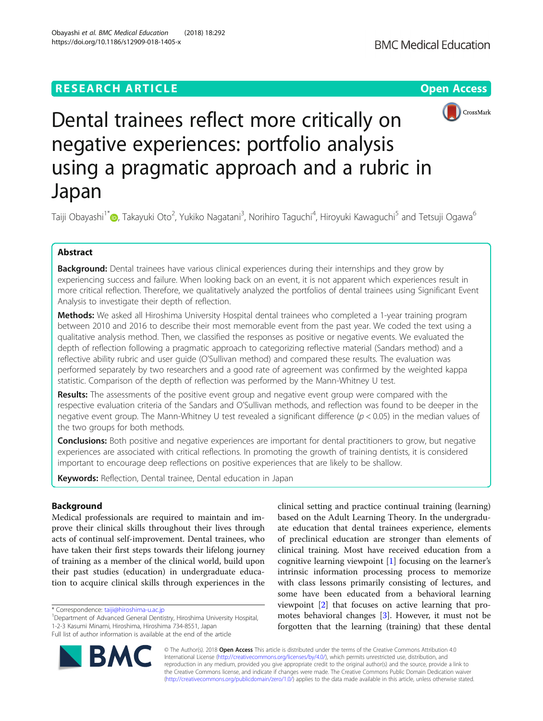https://doi.org/10.1186/s12909-018-1405-x

Obayashi et al. BMC Medical Education (2018) 18:292



Dental trainees reflect more critically on negative experiences: portfolio analysis using a pragmatic approach and a rubric in Japan

Taiji Obayashi<sup>1\*</sup>�[,](http://orcid.org/0000-0001-8220-7301) Takayuki Oto<sup>2</sup>, Yukiko Nagatani<sup>3</sup>, Norihiro Taguchi<sup>4</sup>, Hiroyuki Kawaguchi<sup>5</sup> and Tetsuji Ogawa<sup>6</sup>

# Abstract

Background: Dental trainees have various clinical experiences during their internships and they grow by experiencing success and failure. When looking back on an event, it is not apparent which experiences result in more critical reflection. Therefore, we qualitatively analyzed the portfolios of dental trainees using Significant Event Analysis to investigate their depth of reflection.

Methods: We asked all Hiroshima University Hospital dental trainees who completed a 1-year training program between 2010 and 2016 to describe their most memorable event from the past year. We coded the text using a qualitative analysis method. Then, we classified the responses as positive or negative events. We evaluated the depth of reflection following a pragmatic approach to categorizing reflective material (Sandars method) and a reflective ability rubric and user guide (O'Sullivan method) and compared these results. The evaluation was performed separately by two researchers and a good rate of agreement was confirmed by the weighted kappa statistic. Comparison of the depth of reflection was performed by the Mann-Whitney U test.

Results: The assessments of the positive event group and negative event group were compared with the respective evaluation criteria of the Sandars and O'Sullivan methods, and reflection was found to be deeper in the negative event group. The Mann-Whitney U test revealed a significant difference  $(p < 0.05)$  in the median values of the two groups for both methods.

**Conclusions:** Both positive and negative experiences are important for dental practitioners to grow, but negative experiences are associated with critical reflections. In promoting the growth of training dentists, it is considered important to encourage deep reflections on positive experiences that are likely to be shallow.

Keywords: Reflection, Dental trainee, Dental education in Japan

# Background

Medical professionals are required to maintain and improve their clinical skills throughout their lives through acts of continual self-improvement. Dental trainees, who have taken their first steps towards their lifelong journey of training as a member of the clinical world, build upon their past studies (education) in undergraduate education to acquire clinical skills through experiences in the

<sup>1</sup>Department of Advanced General Dentistry, Hiroshima University Hospital, 1-2-3 Kasumi Minami, Hiroshima, Hiroshima 734-8551, Japan Full list of author information is available at the end of the article

clinical setting and practice continual training (learning) based on the Adult Learning Theory. In the undergraduate education that dental trainees experience, elements of preclinical education are stronger than elements of clinical training. Most have received education from a cognitive learning viewpoint [[1\]](#page-6-0) focusing on the learner's intrinsic information processing process to memorize with class lessons primarily consisting of lectures, and some have been educated from a behavioral learning viewpoint [\[2](#page-6-0)] that focuses on active learning that promotes behavioral changes [[3\]](#page-6-0). However, it must not be forgotten that the learning (training) that these dental



© The Author(s). 2018 Open Access This article is distributed under the terms of the Creative Commons Attribution 4.0 International License [\(http://creativecommons.org/licenses/by/4.0/](http://creativecommons.org/licenses/by/4.0/)), which permits unrestricted use, distribution, and reproduction in any medium, provided you give appropriate credit to the original author(s) and the source, provide a link to the Creative Commons license, and indicate if changes were made. The Creative Commons Public Domain Dedication waiver [\(http://creativecommons.org/publicdomain/zero/1.0/](http://creativecommons.org/publicdomain/zero/1.0/)) applies to the data made available in this article, unless otherwise stated.

<sup>\*</sup> Correspondence: [taiji@hiroshima-u.ac.jp](mailto:taiji@hiroshima-u.ac.jp) <sup>1</sup>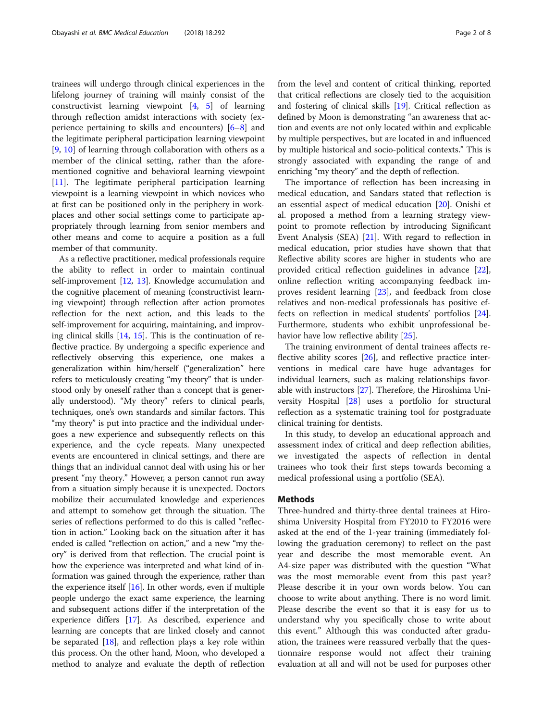trainees will undergo through clinical experiences in the lifelong journey of training will mainly consist of the constructivist learning viewpoint [\[4](#page-6-0), [5\]](#page-6-0) of learning through reflection amidst interactions with society (experience pertaining to skills and encounters) [\[6](#page-6-0)–[8](#page-6-0)] and the legitimate peripheral participation learning viewpoint [[9,](#page-6-0) [10\]](#page-6-0) of learning through collaboration with others as a member of the clinical setting, rather than the aforementioned cognitive and behavioral learning viewpoint [[11\]](#page-6-0). The legitimate peripheral participation learning viewpoint is a learning viewpoint in which novices who at first can be positioned only in the periphery in workplaces and other social settings come to participate appropriately through learning from senior members and other means and come to acquire a position as a full member of that community.

As a reflective practitioner, medical professionals require the ability to reflect in order to maintain continual self-improvement [\[12](#page-6-0), [13\]](#page-6-0). Knowledge accumulation and the cognitive placement of meaning (constructivist learning viewpoint) through reflection after action promotes reflection for the next action, and this leads to the self-improvement for acquiring, maintaining, and improving clinical skills  $[14, 15]$  $[14, 15]$  $[14, 15]$  $[14, 15]$ . This is the continuation of reflective practice. By undergoing a specific experience and reflectively observing this experience, one makes a generalization within him/herself ("generalization" here refers to meticulously creating "my theory" that is understood only by oneself rather than a concept that is generally understood). "My theory" refers to clinical pearls, techniques, one's own standards and similar factors. This "my theory" is put into practice and the individual undergoes a new experience and subsequently reflects on this experience, and the cycle repeats. Many unexpected events are encountered in clinical settings, and there are things that an individual cannot deal with using his or her present "my theory." However, a person cannot run away from a situation simply because it is unexpected. Doctors mobilize their accumulated knowledge and experiences and attempt to somehow get through the situation. The series of reflections performed to do this is called "reflection in action." Looking back on the situation after it has ended is called "reflection on action," and a new "my theory" is derived from that reflection. The crucial point is how the experience was interpreted and what kind of information was gained through the experience, rather than the experience itself [[16](#page-6-0)]. In other words, even if multiple people undergo the exact same experience, the learning and subsequent actions differ if the interpretation of the experience differs [[17](#page-6-0)]. As described, experience and learning are concepts that are linked closely and cannot be separated [\[18\]](#page-6-0), and reflection plays a key role within this process. On the other hand, Moon, who developed a method to analyze and evaluate the depth of reflection from the level and content of critical thinking, reported that critical reflections are closely tied to the acquisition and fostering of clinical skills [\[19\]](#page-6-0). Critical reflection as defined by Moon is demonstrating "an awareness that action and events are not only located within and explicable by multiple perspectives, but are located in and influenced by multiple historical and socio-political contexts." This is strongly associated with expanding the range of and enriching "my theory" and the depth of reflection.

The importance of reflection has been increasing in medical education, and Sandars stated that reflection is an essential aspect of medical education [[20\]](#page-6-0). Onishi et al. proposed a method from a learning strategy viewpoint to promote reflection by introducing Significant Event Analysis (SEA) [[21\]](#page-6-0). With regard to reflection in medical education, prior studies have shown that that Reflective ability scores are higher in students who are provided critical reflection guidelines in advance [\[22](#page-6-0)], online reflection writing accompanying feedback improves resident learning [\[23\]](#page-6-0), and feedback from close relatives and non-medical professionals has positive effects on reflection in medical students' portfolios [\[24](#page-6-0)]. Furthermore, students who exhibit unprofessional behavior have low reflective ability [[25\]](#page-6-0).

The training environment of dental trainees affects reflective ability scores [[26](#page-6-0)], and reflective practice interventions in medical care have huge advantages for individual learners, such as making relationships favorable with instructors [[27\]](#page-6-0). Therefore, the Hiroshima University Hospital [[28](#page-6-0)] uses a portfolio for structural reflection as a systematic training tool for postgraduate clinical training for dentists.

In this study, to develop an educational approach and assessment index of critical and deep reflection abilities, we investigated the aspects of reflection in dental trainees who took their first steps towards becoming a medical professional using a portfolio (SEA).

# Methods

Three-hundred and thirty-three dental trainees at Hiroshima University Hospital from FY2010 to FY2016 were asked at the end of the 1-year training (immediately following the graduation ceremony) to reflect on the past year and describe the most memorable event. An A4-size paper was distributed with the question "What was the most memorable event from this past year? Please describe it in your own words below. You can choose to write about anything. There is no word limit. Please describe the event so that it is easy for us to understand why you specifically chose to write about this event." Although this was conducted after graduation, the trainees were reassured verbally that the questionnaire response would not affect their training evaluation at all and will not be used for purposes other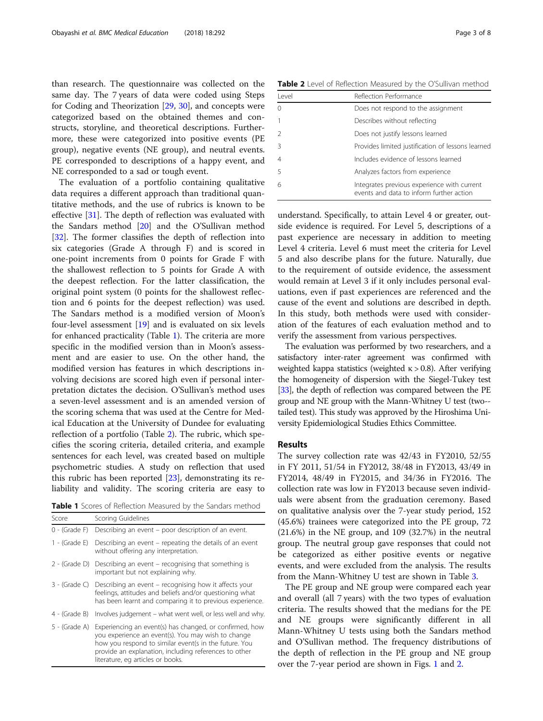than research. The questionnaire was collected on the same day. The 7 years of data were coded using Steps for Coding and Theorization [[29,](#page-6-0) [30\]](#page-7-0), and concepts were categorized based on the obtained themes and constructs, storyline, and theoretical descriptions. Furthermore, these were categorized into positive events (PE group), negative events (NE group), and neutral events. PE corresponded to descriptions of a happy event, and NE corresponded to a sad or tough event.

The evaluation of a portfolio containing qualitative data requires a different approach than traditional quantitative methods, and the use of rubrics is known to be effective [[31](#page-7-0)]. The depth of reflection was evaluated with the Sandars method [\[20](#page-6-0)] and the O'Sullivan method [[32\]](#page-7-0). The former classifies the depth of reflection into six categories (Grade A through F) and is scored in one-point increments from 0 points for Grade F with the shallowest reflection to 5 points for Grade A with the deepest reflection. For the latter classification, the original point system (0 points for the shallowest reflection and 6 points for the deepest reflection) was used. The Sandars method is a modified version of Moon's four-level assessment [\[19](#page-6-0)] and is evaluated on six levels for enhanced practicality (Table 1). The criteria are more specific in the modified version than in Moon's assessment and are easier to use. On the other hand, the modified version has features in which descriptions involving decisions are scored high even if personal interpretation dictates the decision. O'Sullivan's method uses a seven-level assessment and is an amended version of the scoring schema that was used at the Centre for Medical Education at the University of Dundee for evaluating reflection of a portfolio (Table 2). The rubric, which specifies the scoring criteria, detailed criteria, and example sentences for each level, was created based on multiple psychometric studies. A study on reflection that used this rubric has been reported [[23](#page-6-0)], demonstrating its reliability and validity. The scoring criteria are easy to

Table 1 Scores of Reflection Measured by the Sandars method

| Score         | Scoring Guidelines                                                                                                                                                                                                                                                   |  |  |  |  |
|---------------|----------------------------------------------------------------------------------------------------------------------------------------------------------------------------------------------------------------------------------------------------------------------|--|--|--|--|
|               | $0 - (Grade F)$ Describing an event $-$ poor description of an event.                                                                                                                                                                                                |  |  |  |  |
|               | 1 - (Grade E) Describing an event – repeating the details of an event<br>without offering any interpretation.                                                                                                                                                        |  |  |  |  |
|               | 2 - (Grade D) Describing an event – recognising that something is<br>important but not explaining why.                                                                                                                                                               |  |  |  |  |
|               | 3 - (Grade C) Describing an event – recognising how it affects your<br>feelings, attitudes and beliefs and/or questioning what<br>has been learnt and comparing it to previous experience.                                                                           |  |  |  |  |
| 4 - (Grade B) | Involves judgement – what went well, or less well and why.                                                                                                                                                                                                           |  |  |  |  |
| 5 - (Grade A) | Experiencing an event(s) has changed, or confirmed, how<br>you experience an event(s). You may wish to change<br>how you respond to similar event(s in the future. You<br>provide an explanation, including references to other<br>literature, eg articles or books. |  |  |  |  |

| Level          | Reflection Performance                                                                  |
|----------------|-----------------------------------------------------------------------------------------|
| $\Omega$       | Does not respond to the assignment                                                      |
| $\mathbf{1}$   | Describes without reflecting                                                            |
| $\mathfrak{D}$ | Does not justify lessons learned                                                        |
| 3              | Provides limited justification of lessons learned                                       |
| $\overline{4}$ | Includes evidence of lessons learned                                                    |
| 5              | Analyzes factors from experience                                                        |
| 6              | Integrates previous experience with current<br>events and data to inform further action |

understand. Specifically, to attain Level 4 or greater, outside evidence is required. For Level 5, descriptions of a past experience are necessary in addition to meeting Level 4 criteria. Level 6 must meet the criteria for Level 5 and also describe plans for the future. Naturally, due to the requirement of outside evidence, the assessment would remain at Level 3 if it only includes personal evaluations, even if past experiences are referenced and the cause of the event and solutions are described in depth. In this study, both methods were used with consideration of the features of each evaluation method and to verify the assessment from various perspectives.

The evaluation was performed by two researchers, and a satisfactory inter-rater agreement was confirmed with weighted kappa statistics (weighted  $\kappa > 0.8$ ). After verifying the homogeneity of dispersion with the Siegel-Tukey test [[33](#page-7-0)], the depth of reflection was compared between the PE group and NE group with the Mann-Whitney U test (two- tailed test). This study was approved by the Hiroshima University Epidemiological Studies Ethics Committee.

# Results

The survey collection rate was 42/43 in FY2010, 52/55 in FY 2011, 51/54 in FY2012, 38/48 in FY2013, 43/49 in FY2014, 48/49 in FY2015, and 34/36 in FY2016. The collection rate was low in FY2013 because seven individuals were absent from the graduation ceremony. Based on qualitative analysis over the 7-year study period, 152 (45.6%) trainees were categorized into the PE group, 72 (21.6%) in the NE group, and 109 (32.7%) in the neutral group. The neutral group gave responses that could not be categorized as either positive events or negative events, and were excluded from the analysis. The results from the Mann-Whitney U test are shown in Table [3.](#page-3-0)

The PE group and NE group were compared each year and overall (all 7 years) with the two types of evaluation criteria. The results showed that the medians for the PE and NE groups were significantly different in all Mann-Whitney U tests using both the Sandars method and O'Sullivan method. The frequency distributions of the depth of reflection in the PE group and NE group over the 7-year period are shown in Figs. [1](#page-3-0) and [2](#page-4-0).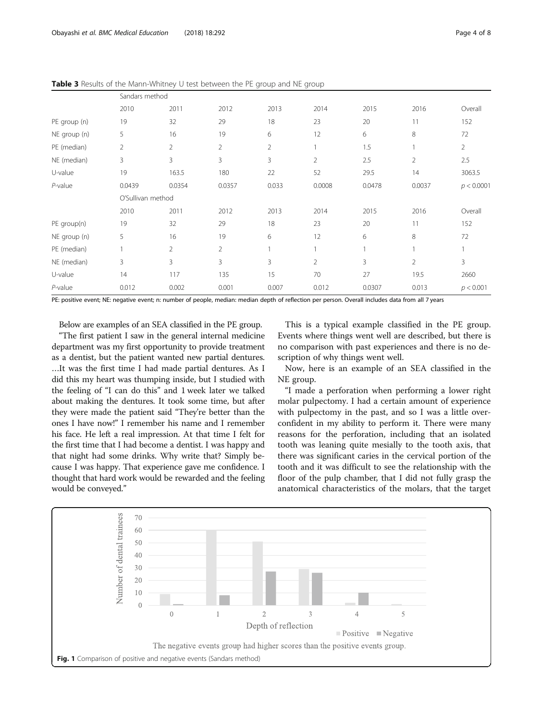|              | Sandars method    |                |                |                |                |        |                |                |  |  |
|--------------|-------------------|----------------|----------------|----------------|----------------|--------|----------------|----------------|--|--|
|              | 2010              | 2011           | 2012           | 2013           | 2014           | 2015   | 2016           | Overall        |  |  |
| PE group (n) | 19                | 32             | 29             | 18             | 23             | 20     | 11             | 152            |  |  |
| NE group (n) | 5                 | 16             | 19             | 6              | 12             | 6      | 8              | 72             |  |  |
| PE (median)  | $\overline{2}$    | $\overline{2}$ | $\overline{2}$ | $\overline{2}$ |                | 1.5    | 1              | $\overline{2}$ |  |  |
| NE (median)  | 3                 | 3              | 3              | 3              | 2              | 2.5    | $\overline{2}$ | 2.5            |  |  |
| U-value      | 19                | 163.5          | 180            | 22             | 52             | 29.5   | 14             | 3063.5         |  |  |
| $P$ -value   | 0.0439            | 0.0354         | 0.0357         | 0.033          | 0.0008         | 0.0478 | 0.0037         | p < 0.0001     |  |  |
|              | O'Sullivan method |                |                |                |                |        |                |                |  |  |
|              | 2010              | 2011           | 2012           | 2013           | 2014           | 2015   | 2016           | Overall        |  |  |
| PE group(n)  | 19                | 32             | 29             | 18             | 23             | 20     | 11             | 152            |  |  |
| NE group (n) | 5                 | 16             | 19             | 6              | 12             | 6      | 8              | 72             |  |  |
| PE (median)  |                   | $\overline{2}$ | $\overline{2}$ |                |                |        |                | $\mathbf{1}$   |  |  |
| NE (median)  | 3                 | 3              | $\overline{3}$ | 3              | $\overline{2}$ | 3      | $\overline{2}$ | 3              |  |  |
| U-value      | 14                | 117            | 135            | 15             | 70             | 27     | 19.5           | 2660           |  |  |
| $P$ -value   | 0.012             | 0.002          | 0.001          | 0.007          | 0.012          | 0.0307 | 0.013          | p < 0.001      |  |  |

<span id="page-3-0"></span>Table 3 Results of the Mann-Whitney U test between the PE group and NE group

PE: positive event; NE: negative event; n: number of people, median: median depth of reflection per person. Overall includes data from all 7 years

Below are examples of an SEA classified in the PE group.

"The first patient I saw in the general internal medicine department was my first opportunity to provide treatment as a dentist, but the patient wanted new partial dentures. …It was the first time I had made partial dentures. As I did this my heart was thumping inside, but I studied with the feeling of "I can do this" and 1 week later we talked about making the dentures. It took some time, but after they were made the patient said "They're better than the ones I have now!" I remember his name and I remember his face. He left a real impression. At that time I felt for the first time that I had become a dentist. I was happy and that night had some drinks. Why write that? Simply because I was happy. That experience gave me confidence. I thought that hard work would be rewarded and the feeling would be conveyed."

This is a typical example classified in the PE group. Events where things went well are described, but there is no comparison with past experiences and there is no description of why things went well.

Now, here is an example of an SEA classified in the NE group.

"I made a perforation when performing a lower right molar pulpectomy. I had a certain amount of experience with pulpectomy in the past, and so I was a little overconfident in my ability to perform it. There were many reasons for the perforation, including that an isolated tooth was leaning quite mesially to the tooth axis, that there was significant caries in the cervical portion of the tooth and it was difficult to see the relationship with the floor of the pulp chamber, that I did not fully grasp the anatomical characteristics of the molars, that the target

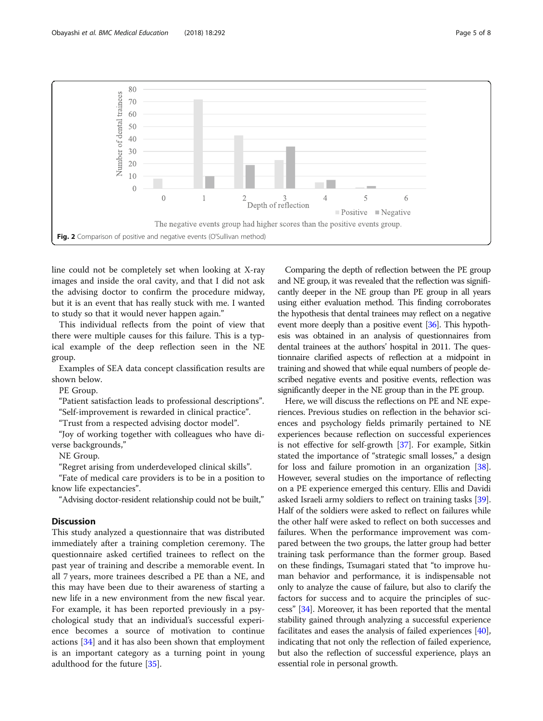<span id="page-4-0"></span>

line could not be completely set when looking at X-ray images and inside the oral cavity, and that I did not ask the advising doctor to confirm the procedure midway, but it is an event that has really stuck with me. I wanted to study so that it would never happen again."

This individual reflects from the point of view that there were multiple causes for this failure. This is a typical example of the deep reflection seen in the NE group.

Examples of SEA data concept classification results are shown below.

PE Group.

"Patient satisfaction leads to professional descriptions".

"Self-improvement is rewarded in clinical practice".

"Trust from a respected advising doctor model".

"Joy of working together with colleagues who have diverse backgrounds,"

NE Group.

"Regret arising from underdeveloped clinical skills".

"Fate of medical care providers is to be in a position to know life expectancies".

"Advising doctor-resident relationship could not be built,"

# **Discussion**

This study analyzed a questionnaire that was distributed immediately after a training completion ceremony. The questionnaire asked certified trainees to reflect on the past year of training and describe a memorable event. In all 7 years, more trainees described a PE than a NE, and this may have been due to their awareness of starting a new life in a new environment from the new fiscal year. For example, it has been reported previously in a psychological study that an individual's successful experience becomes a source of motivation to continue actions [[34](#page-7-0)] and it has also been shown that employment is an important category as a turning point in young adulthood for the future [\[35](#page-7-0)].

Comparing the depth of reflection between the PE group and NE group, it was revealed that the reflection was significantly deeper in the NE group than PE group in all years using either evaluation method. This finding corroborates the hypothesis that dental trainees may reflect on a negative event more deeply than a positive event [[36\]](#page-7-0). This hypothesis was obtained in an analysis of questionnaires from dental trainees at the authors' hospital in 2011. The questionnaire clarified aspects of reflection at a midpoint in training and showed that while equal numbers of people described negative events and positive events, reflection was significantly deeper in the NE group than in the PE group.

Here, we will discuss the reflections on PE and NE experiences. Previous studies on reflection in the behavior sciences and psychology fields primarily pertained to NE experiences because reflection on successful experiences is not effective for self-growth [[37](#page-7-0)]. For example, Sitkin stated the importance of "strategic small losses," a design for loss and failure promotion in an organization [[38](#page-7-0)]. However, several studies on the importance of reflecting on a PE experience emerged this century. Ellis and Davidi asked Israeli army soldiers to reflect on training tasks [[39](#page-7-0)]. Half of the soldiers were asked to reflect on failures while the other half were asked to reflect on both successes and failures. When the performance improvement was compared between the two groups, the latter group had better training task performance than the former group. Based on these findings, Tsumagari stated that "to improve human behavior and performance, it is indispensable not only to analyze the cause of failure, but also to clarify the factors for success and to acquire the principles of success" [\[34](#page-7-0)]. Moreover, it has been reported that the mental stability gained through analyzing a successful experience facilitates and eases the analysis of failed experiences [[40](#page-7-0)], indicating that not only the reflection of failed experience, but also the reflection of successful experience, plays an essential role in personal growth.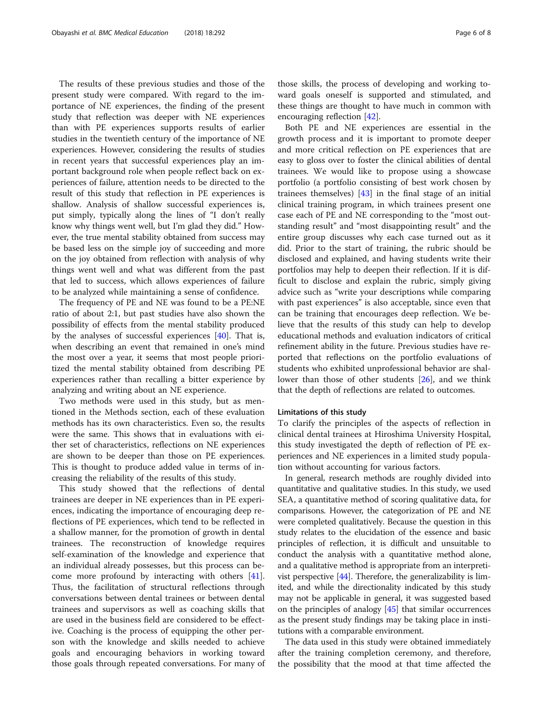The results of these previous studies and those of the present study were compared. With regard to the importance of NE experiences, the finding of the present study that reflection was deeper with NE experiences than with PE experiences supports results of earlier studies in the twentieth century of the importance of NE experiences. However, considering the results of studies in recent years that successful experiences play an important background role when people reflect back on experiences of failure, attention needs to be directed to the result of this study that reflection in PE experiences is shallow. Analysis of shallow successful experiences is, put simply, typically along the lines of "I don't really know why things went well, but I'm glad they did." However, the true mental stability obtained from success may be based less on the simple joy of succeeding and more on the joy obtained from reflection with analysis of why things went well and what was different from the past that led to success, which allows experiences of failure to be analyzed while maintaining a sense of confidence.

The frequency of PE and NE was found to be a PE:NE ratio of about 2:1, but past studies have also shown the possibility of effects from the mental stability produced by the analyses of successful experiences [\[40](#page-7-0)]. That is, when describing an event that remained in one's mind the most over a year, it seems that most people prioritized the mental stability obtained from describing PE experiences rather than recalling a bitter experience by analyzing and writing about an NE experience.

Two methods were used in this study, but as mentioned in the Methods section, each of these evaluation methods has its own characteristics. Even so, the results were the same. This shows that in evaluations with either set of characteristics, reflections on NE experiences are shown to be deeper than those on PE experiences. This is thought to produce added value in terms of increasing the reliability of the results of this study.

This study showed that the reflections of dental trainees are deeper in NE experiences than in PE experiences, indicating the importance of encouraging deep reflections of PE experiences, which tend to be reflected in a shallow manner, for the promotion of growth in dental trainees. The reconstruction of knowledge requires self-examination of the knowledge and experience that an individual already possesses, but this process can become more profound by interacting with others [\[41](#page-7-0)]. Thus, the facilitation of structural reflections through conversations between dental trainees or between dental trainees and supervisors as well as coaching skills that are used in the business field are considered to be effective. Coaching is the process of equipping the other person with the knowledge and skills needed to achieve goals and encouraging behaviors in working toward those goals through repeated conversations. For many of

those skills, the process of developing and working toward goals oneself is supported and stimulated, and these things are thought to have much in common with encouraging reflection [[42](#page-7-0)].

Both PE and NE experiences are essential in the growth process and it is important to promote deeper and more critical reflection on PE experiences that are easy to gloss over to foster the clinical abilities of dental trainees. We would like to propose using a showcase portfolio (a portfolio consisting of best work chosen by trainees themselves) [[43\]](#page-7-0) in the final stage of an initial clinical training program, in which trainees present one case each of PE and NE corresponding to the "most outstanding result" and "most disappointing result" and the entire group discusses why each case turned out as it did. Prior to the start of training, the rubric should be disclosed and explained, and having students write their portfolios may help to deepen their reflection. If it is difficult to disclose and explain the rubric, simply giving advice such as "write your descriptions while comparing with past experiences" is also acceptable, since even that can be training that encourages deep reflection. We believe that the results of this study can help to develop educational methods and evaluation indicators of critical refinement ability in the future. Previous studies have reported that reflections on the portfolio evaluations of students who exhibited unprofessional behavior are shallower than those of other students [\[26\]](#page-6-0), and we think that the depth of reflections are related to outcomes.

# Limitations of this study

To clarify the principles of the aspects of reflection in clinical dental trainees at Hiroshima University Hospital, this study investigated the depth of reflection of PE experiences and NE experiences in a limited study population without accounting for various factors.

In general, research methods are roughly divided into quantitative and qualitative studies. In this study, we used SEA, a quantitative method of scoring qualitative data, for comparisons. However, the categorization of PE and NE were completed qualitatively. Because the question in this study relates to the elucidation of the essence and basic principles of reflection, it is difficult and unsuitable to conduct the analysis with a quantitative method alone, and a qualitative method is appropriate from an interpretivist perspective [\[44\]](#page-7-0). Therefore, the generalizability is limited, and while the directionality indicated by this study may not be applicable in general, it was suggested based on the principles of analogy [[45](#page-7-0)] that similar occurrences as the present study findings may be taking place in institutions with a comparable environment.

The data used in this study were obtained immediately after the training completion ceremony, and therefore, the possibility that the mood at that time affected the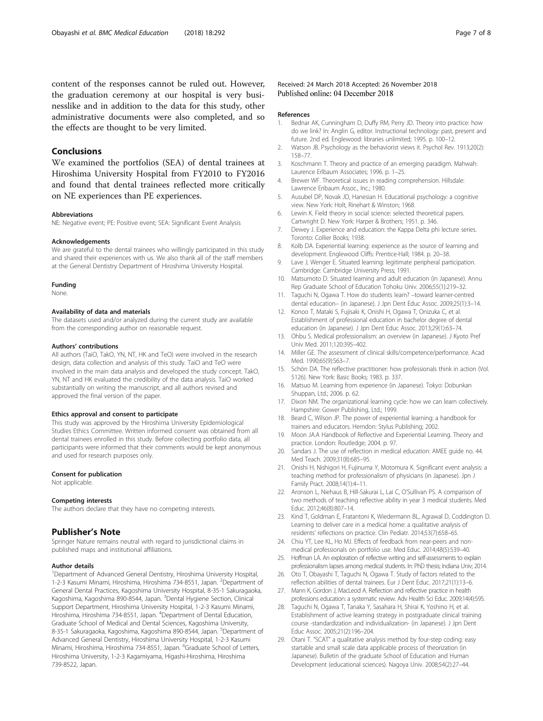<span id="page-6-0"></span>content of the responses cannot be ruled out. However, the graduation ceremony at our hospital is very businesslike and in addition to the data for this study, other administrative documents were also completed, and so the effects are thought to be very limited.

# Conclusions

We examined the portfolios (SEA) of dental trainees at Hiroshima University Hospital from FY2010 to FY2016 and found that dental trainees reflected more critically on NE experiences than PE experiences.

#### Abbreviations

NE: Negative event; PE: Positive event; SEA: Significant Event Analysis

### Acknowledgements

We are grateful to the dental trainees who willingly participated in this study and shared their experiences with us. We also thank all of the staff members at the General Dentistry Department of Hiroshima University Hospital.

#### Funding

None.

## Availability of data and materials

The datasets used and/or analyzed during the current study are available from the corresponding author on reasonable request.

# Authors' contributions

All authors (TaiO, TakO, YN, NT, HK and TeO) were involved in the research design, data collection and analysis of this study. TaiO and TeO were involved in the main data analysis and developed the study concept. TakO, YN, NT and HK evaluated the credibility of the data analysis. TaiO worked substantially on writing the manuscript, and all authors revised and approved the final version of the paper.

#### Ethics approval and consent to participate

This study was approved by the Hiroshima University Epidemiological Studies Ethics Committee. Written informed consent was obtained from all dental trainees enrolled in this study. Before collecting portfolio data, all participants were informed that their comments would be kept anonymous and used for research purposes only.

### Consent for publication

Not applicable.

#### Competing interests

The authors declare that they have no competing interests.

# Publisher's Note

Springer Nature remains neutral with regard to jurisdictional claims in published maps and institutional affiliations.

## Author details

<sup>1</sup>Department of Advanced General Dentistry, Hiroshima University Hospital, 1-2-3 Kasumi Minami, Hiroshima, Hiroshima 734-8551, Japan. <sup>2</sup>Department of General Dental Practices, Kagoshima University Hospital, 8-35-1 Sakuragaoka, Kagoshima, Kagoshima 890-8544, Japan. <sup>3</sup>Dental Hygiene Section, Clinical Support Department, Hiroshima University Hospital, 1-2-3 Kasumi Minami, Hiroshima, Hiroshima 734-8551, Japan. <sup>4</sup>Department of Dental Education, Graduate School of Medical and Dental Sciences, Kagoshima University, 8-35-1 Sakuragaoka, Kagoshima, Kagoshima 890-8544, Japan. <sup>5</sup>Department of Advanced General Dentistry, Hiroshima University Hospital, 1-2-3 Kasumi Minami, Hiroshima, Hiroshima 734-8551, Japan. <sup>6</sup>Graduate School of Letters, Hiroshima University, 1-2-3 Kagamiyama, Higashi-Hiroshima, Hiroshima 739-8522, Japan.

# Received: 24 March 2018 Accepted: 26 November 2018 Published online: 04 December 2018

#### References

- 1. Bednar AK, Cunningham D, Duffy RM, Perry JD. Theory into practice: how do we link? In: Anglin G, editor. Instructional technology: past, present and future. 2nd ed. Englewood: libraries unlimited; 1995. p. 100–12.
- 2. Watson JB. Psychology as the behaviorist views it. Psychol Rev. 1913;20(2): 158–77.
- 3. Koschmann T. Theory and practice of an emerging paradigm. Mahwah: Laurence Erlbaum Associates; 1996. p. 1–25.
- 4. Brewer WF. Theoretical issues in reading comprehension. Hillsdale: Lawrence Eribaum Assoc., Inc.: 1980.
- 5. Ausubel DP, Novak JD, Hanesian H. Educational psychology: a cognitive view. New York: Holt, Rinehart & Winston; 1968.
- 6. Lewin K. Field theory in social science: selected theoretical papers. Cartwright D. New York: Harper & Brothers; 1951. p. 346.
- 7. Dewey J. Experience and education: the Kappa Delta phi lecture series. Toronto: Collier Books; 1938.
- 8. Kolb DA. Experiential learning: experience as the source of learning and development. Englewood Cliffs: Prentice-Hall; 1984. p. 20–38.
- Lave J, Wenger E. Situated learning: legitimate peripheral participation. Cambridge: Cambridge University Press; 1991.
- 10. Matsumoto D. Situated learning and adult education (in Japanese). Annu Rep Graduate School of Education Tohoku Univ. 2006;55(1):219–32.
- 11. Taguchi N, Ogawa T. How do students learn? –toward learner-centred dental education– (in Japanese). J Jpn Dent Educ Assoc. 2009;25(1):3–14.
- 12. Konoo T, Mataki S, Fujisaki K, Onishi H, Ogawa T, Onizuka C, et al. Establishment of professional education in bachelor degree of dental education (in Japanese). J Jpn Dent Educ Assoc. 2013;29(1):63–74.
- 13. Ohbu S. Medical professionalism: an overview (in Japanese). J Kyoto Pref Univ Med. 2011;120:395–402.
- 14. Miller GE. The assessment of clinical skills/competence/performance. Acad Med. 1990;65(9):S63–7.
- 15. Schön DA. The reflective practitioner: how professionals think in action (Vol. 5126). New York: Basic Books; 1983. p. 337.
- 16. Matsuo M. Learning from experience (in Japanese). Tokyo: Dobunkan Shuppan, Ltd.; 2006. p. 62.
- 17. Dixon NM. The organizational learning cycle: how we can learn collectively. Hampshire: Gower Publishing, Ltd.; 1999.
- 18. Beard C, Wilson JP. The power of experiential learning: a handbook for trainers and educators. Herndon: Stylus Publishing; 2002.
- 19. Moon JA.A Handbook of Reflective and Experiential Learning. Theory and practice. London: Routledge; 2004. p. 97.
- 20. Sandars J. The use of reflection in medical education: AMEE guide no. 44. Med Teach. 2009;31(8):685–95.
- 21. Onishi H, Nishigori H, Fujinuma Y, Motomura K. Significant event analysis: a teaching method for professionalism of physicians (in Japanese). Jpn J Family Pract. 2008;14(1):4–11.
- 22. Aronson L, Niehaus B, Hill-Sakurai L, Lai C, O'Sullivan PS. A comparison of two methods of teaching reflective ability in year 3 medical students. Med Educ. 2012;46(8):807–14.
- 23. Kind T, Goldman E, Fratantoni K, Wiedermann BL, Agrawal D, Coddington D. Learning to deliver care in a medical home: a qualitative analysis of residents' reflections on practice. Clin Pediatr. 2014;53(7):658–65.
- 24. Chiu YT, Lee KL, Ho MJ. Effects of feedback from near-peers and nonmedical professionals on portfolio use. Med Educ. 2014;48(5):539–40.
- 25. Hoffman LA. An exploration of reflective writing and self-assessments to explain professionalism lapses among medical students. In: PhD thesis; Indiana Univ; 2014.
- 26. Oto T, Obayashi T, Taguchi N, Ogawa T. Study of factors related to the reflection abilities of dental trainees. Eur J Dent Educ. 2017;21(1):13–6.
- 27. Mann K, Gordon J, MacLeod A. Reflection and reflective practice in health professions education: a systematic review. Adv Health Sci Educ. 2009;14(4):595.
- 28. Taguchi N, Ogawa T, Tanaka Y, Sasahara H, Shirai K, Yoshino H, et al. Establishment of active learning strategy in postgraduate clinical training course -standardization and individualization- (in Japanese). J Jpn Dent Educ Assoc. 2005;21(2):196–204.
- 29. Otani T. "SCAT" a qualitative analysis method by four-step coding: easy startable and small scale data applicable process of theorization (in Japanese). Bulletin of the graduate School of Education and Human Development (educational sciences). Nagoya Univ. 2008;54(2):27–44.